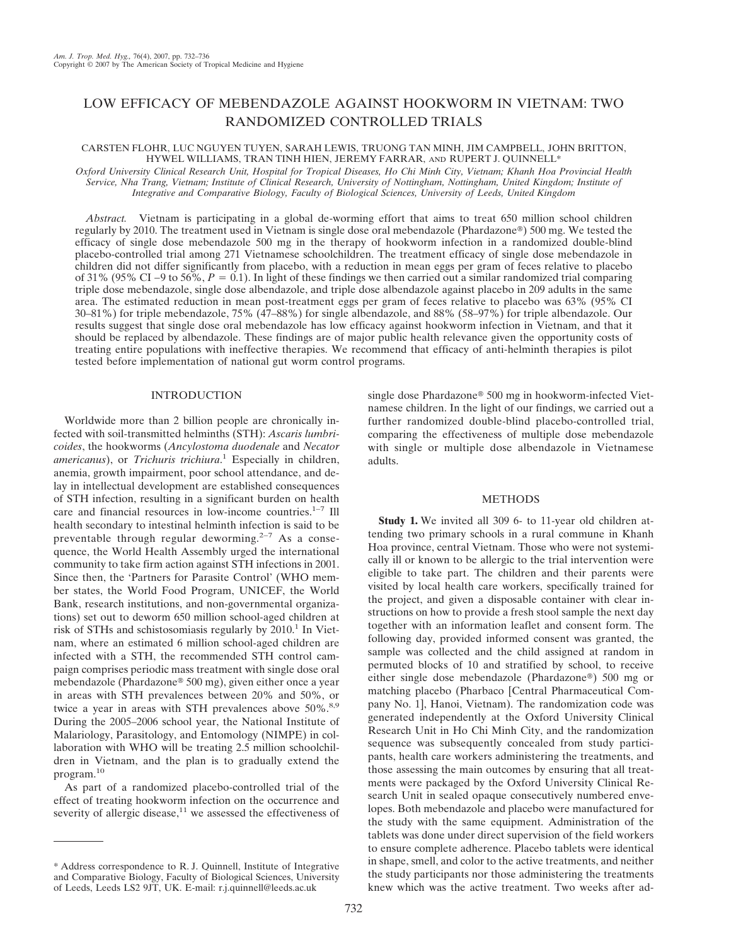# LOW EFFICACY OF MEBENDAZOLE AGAINST HOOKWORM IN VIETNAM: TWO RANDOMIZED CONTROLLED TRIALS

## CARSTEN FLOHR, LUC NGUYEN TUYEN, SARAH LEWIS, TRUONG TAN MINH, JIM CAMPBELL, JOHN BRITTON, HYWEL WILLIAMS, TRAN TINH HIEN, JEREMY FARRAR, AND RUPERT J. QUINNELL\*

*Oxford University Clinical Research Unit, Hospital for Tropical Diseases, Ho Chi Minh City, Vietnam; Khanh Hoa Provincial Health Service, Nha Trang, Vietnam; Institute of Clinical Research, University of Nottingham, Nottingham, United Kingdom; Institute of Integrative and Comparative Biology, Faculty of Biological Sciences, University of Leeds, United Kingdom*

*Abstract.* Vietnam is participating in a global de-worming effort that aims to treat 650 million school children regularly by 2010. The treatment used in Vietnam is single dose oral mebendazole (Phardazone®) 500 mg. We tested the efficacy of single dose mebendazole 500 mg in the therapy of hookworm infection in a randomized double-blind placebo-controlled trial among 271 Vietnamese schoolchildren. The treatment efficacy of single dose mebendazole in children did not differ significantly from placebo, with a reduction in mean eggs per gram of feces relative to placebo of 31% (95% CI −9 to 56%,  $P = 0.1$ ). In light of these findings we then carried out a similar randomized trial comparing triple dose mebendazole, single dose albendazole, and triple dose albendazole against placebo in 209 adults in the same area. The estimated reduction in mean post-treatment eggs per gram of feces relative to placebo was 63% (95% CI 30–81%) for triple mebendazole, 75% (47–88%) for single albendazole, and 88% (58–97%) for triple albendazole. Our results suggest that single dose oral mebendazole has low efficacy against hookworm infection in Vietnam, and that it should be replaced by albendazole. These findings are of major public health relevance given the opportunity costs of treating entire populations with ineffective therapies. We recommend that efficacy of anti-helminth therapies is pilot tested before implementation of national gut worm control programs.

# INTRODUCTION

Worldwide more than 2 billion people are chronically infected with soil-transmitted helminths (STH): *Ascaris lumbricoides*, the hookworms (*Ancylostoma duodenale* and *Necator americanus*), or *Trichuris trichiura*. <sup>1</sup> Especially in children, anemia, growth impairment, poor school attendance, and delay in intellectual development are established consequences of STH infection, resulting in a significant burden on health care and financial resources in low-income countries.<sup>1–7</sup> Ill health secondary to intestinal helminth infection is said to be preventable through regular deworming.<sup>2–7</sup> As a consequence, the World Health Assembly urged the international community to take firm action against STH infections in 2001. Since then, the 'Partners for Parasite Control' (WHO member states, the World Food Program, UNICEF, the World Bank, research institutions, and non-governmental organizations) set out to deworm 650 million school-aged children at risk of STHs and schistosomiasis regularly by  $2010<sup>1</sup>$  In Vietnam, where an estimated 6 million school-aged children are infected with a STH, the recommended STH control campaign comprises periodic mass treatment with single dose oral mebendazole (Phardazone® 500 mg), given either once a year in areas with STH prevalences between 20% and 50%, or twice a year in areas with STH prevalences above  $50\%$ .<sup>8,9</sup> During the 2005–2006 school year, the National Institute of Malariology, Parasitology, and Entomology (NIMPE) in collaboration with WHO will be treating 2.5 million schoolchildren in Vietnam, and the plan is to gradually extend the program.10

As part of a randomized placebo-controlled trial of the effect of treating hookworm infection on the occurrence and severity of allergic disease, $11$  we assessed the effectiveness of single dose Phardazone® 500 mg in hookworm-infected Vietnamese children. In the light of our findings, we carried out a further randomized double-blind placebo-controlled trial, comparing the effectiveness of multiple dose mebendazole with single or multiple dose albendazole in Vietnamese adults.

## METHODS

**Study 1.** We invited all 309 6- to 11-year old children attending two primary schools in a rural commune in Khanh Hoa province, central Vietnam. Those who were not systemically ill or known to be allergic to the trial intervention were eligible to take part. The children and their parents were visited by local health care workers, specifically trained for the project, and given a disposable container with clear instructions on how to provide a fresh stool sample the next day together with an information leaflet and consent form. The following day, provided informed consent was granted, the sample was collected and the child assigned at random in permuted blocks of 10 and stratified by school, to receive either single dose mebendazole (Phardazone®) 500 mg or matching placebo (Pharbaco [Central Pharmaceutical Company No. 1], Hanoi, Vietnam). The randomization code was generated independently at the Oxford University Clinical Research Unit in Ho Chi Minh City, and the randomization sequence was subsequently concealed from study participants, health care workers administering the treatments, and those assessing the main outcomes by ensuring that all treatments were packaged by the Oxford University Clinical Research Unit in sealed opaque consecutively numbered envelopes. Both mebendazole and placebo were manufactured for the study with the same equipment. Administration of the tablets was done under direct supervision of the field workers to ensure complete adherence. Placebo tablets were identical in shape, smell, and color to the active treatments, and neither the study participants nor those administering the treatments knew which was the active treatment. Two weeks after ad-

<sup>\*</sup> Address correspondence to R. J. Quinnell, Institute of Integrative and Comparative Biology, Faculty of Biological Sciences, University of Leeds, Leeds LS2 9JT, UK. E-mail: r.j.quinnell@leeds.ac.uk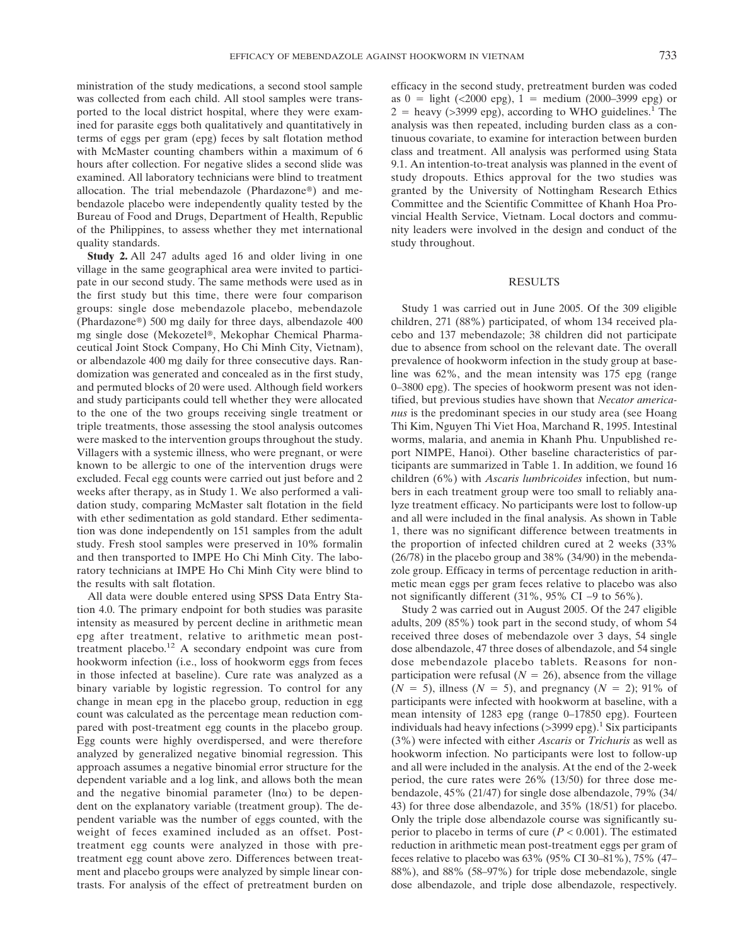ministration of the study medications, a second stool sample was collected from each child. All stool samples were transported to the local district hospital, where they were examined for parasite eggs both qualitatively and quantitatively in terms of eggs per gram (epg) feces by salt flotation method with McMaster counting chambers within a maximum of 6 hours after collection. For negative slides a second slide was examined. All laboratory technicians were blind to treatment allocation. The trial mebendazole (Phardazone®) and mebendazole placebo were independently quality tested by the Bureau of Food and Drugs, Department of Health, Republic of the Philippines, to assess whether they met international quality standards.

**Study 2.** All 247 adults aged 16 and older living in one village in the same geographical area were invited to participate in our second study. The same methods were used as in the first study but this time, there were four comparison groups: single dose mebendazole placebo, mebendazole (Phardazone®) 500 mg daily for three days, albendazole 400 mg single dose (Mekozetel®, Mekophar Chemical Pharmaceutical Joint Stock Company, Ho Chi Minh City, Vietnam), or albendazole 400 mg daily for three consecutive days. Randomization was generated and concealed as in the first study, and permuted blocks of 20 were used. Although field workers and study participants could tell whether they were allocated to the one of the two groups receiving single treatment or triple treatments, those assessing the stool analysis outcomes were masked to the intervention groups throughout the study. Villagers with a systemic illness, who were pregnant, or were known to be allergic to one of the intervention drugs were excluded. Fecal egg counts were carried out just before and 2 weeks after therapy, as in Study 1. We also performed a validation study, comparing McMaster salt flotation in the field with ether sedimentation as gold standard. Ether sedimentation was done independently on 151 samples from the adult study. Fresh stool samples were preserved in 10% formalin and then transported to IMPE Ho Chi Minh City. The laboratory technicians at IMPE Ho Chi Minh City were blind to the results with salt flotation.

All data were double entered using SPSS Data Entry Station 4.0. The primary endpoint for both studies was parasite intensity as measured by percent decline in arithmetic mean epg after treatment, relative to arithmetic mean posttreatment placebo.12 A secondary endpoint was cure from hookworm infection (i.e., loss of hookworm eggs from feces in those infected at baseline). Cure rate was analyzed as a binary variable by logistic regression. To control for any change in mean epg in the placebo group, reduction in egg count was calculated as the percentage mean reduction compared with post-treatment egg counts in the placebo group. Egg counts were highly overdispersed, and were therefore analyzed by generalized negative binomial regression. This approach assumes a negative binomial error structure for the dependent variable and a log link, and allows both the mean and the negative binomial parameter ( $ln \alpha$ ) to be dependent on the explanatory variable (treatment group). The dependent variable was the number of eggs counted, with the weight of feces examined included as an offset. Posttreatment egg counts were analyzed in those with pretreatment egg count above zero. Differences between treatment and placebo groups were analyzed by simple linear contrasts. For analysis of the effect of pretreatment burden on efficacy in the second study, pretreatment burden was coded as  $0 =$  light (<2000 epg),  $1 =$  medium (2000–3999 epg) or  $2 =$  heavy (>3999 epg), according to WHO guidelines.<sup>1</sup> The analysis was then repeated, including burden class as a continuous covariate, to examine for interaction between burden class and treatment. All analysis was performed using Stata 9.1. An intention-to-treat analysis was planned in the event of study dropouts. Ethics approval for the two studies was granted by the University of Nottingham Research Ethics Committee and the Scientific Committee of Khanh Hoa Provincial Health Service, Vietnam. Local doctors and community leaders were involved in the design and conduct of the study throughout.

#### RESULTS

Study 1 was carried out in June 2005. Of the 309 eligible children, 271 (88%) participated, of whom 134 received placebo and 137 mebendazole; 38 children did not participate due to absence from school on the relevant date. The overall prevalence of hookworm infection in the study group at baseline was 62%, and the mean intensity was 175 epg (range 0–3800 epg). The species of hookworm present was not identified, but previous studies have shown that *Necator americanus* is the predominant species in our study area (see Hoang Thi Kim, Nguyen Thi Viet Hoa, Marchand R, 1995. Intestinal worms, malaria, and anemia in Khanh Phu. Unpublished report NIMPE, Hanoi). Other baseline characteristics of participants are summarized in Table 1. In addition, we found 16 children (6%) with *Ascaris lumbricoides* infection, but numbers in each treatment group were too small to reliably analyze treatment efficacy. No participants were lost to follow-up and all were included in the final analysis. As shown in Table 1, there was no significant difference between treatments in the proportion of infected children cured at 2 weeks (33% (26/78) in the placebo group and 38% (34/90) in the mebendazole group. Efficacy in terms of percentage reduction in arithmetic mean eggs per gram feces relative to placebo was also not significantly different (31%, 95% CI −9 to 56%).

Study 2 was carried out in August 2005. Of the 247 eligible adults, 209 (85%) took part in the second study, of whom 54 received three doses of mebendazole over 3 days, 54 single dose albendazole, 47 three doses of albendazole, and 54 single dose mebendazole placebo tablets. Reasons for nonparticipation were refusal  $(N = 26)$ , absence from the village  $(N = 5)$ , illness  $(N = 5)$ , and pregnancy  $(N = 2)$ ; 91% of participants were infected with hookworm at baseline, with a mean intensity of 1283 epg (range 0–17850 epg). Fourteen individuals had heavy infections  $(>\frac{3999}{99})$ .<sup>1</sup> Six participants (3%) were infected with either *Ascaris* or *Trichuris* as well as hookworm infection. No participants were lost to follow-up and all were included in the analysis. At the end of the 2-week period, the cure rates were 26% (13/50) for three dose mebendazole, 45% (21/47) for single dose albendazole, 79% (34/ 43) for three dose albendazole, and 35% (18/51) for placebo. Only the triple dose albendazole course was significantly superior to placebo in terms of cure (*P* < 0.001). The estimated reduction in arithmetic mean post-treatment eggs per gram of feces relative to placebo was 63% (95% CI 30–81%), 75% (47– 88%), and 88% (58–97%) for triple dose mebendazole, single dose albendazole, and triple dose albendazole, respectively.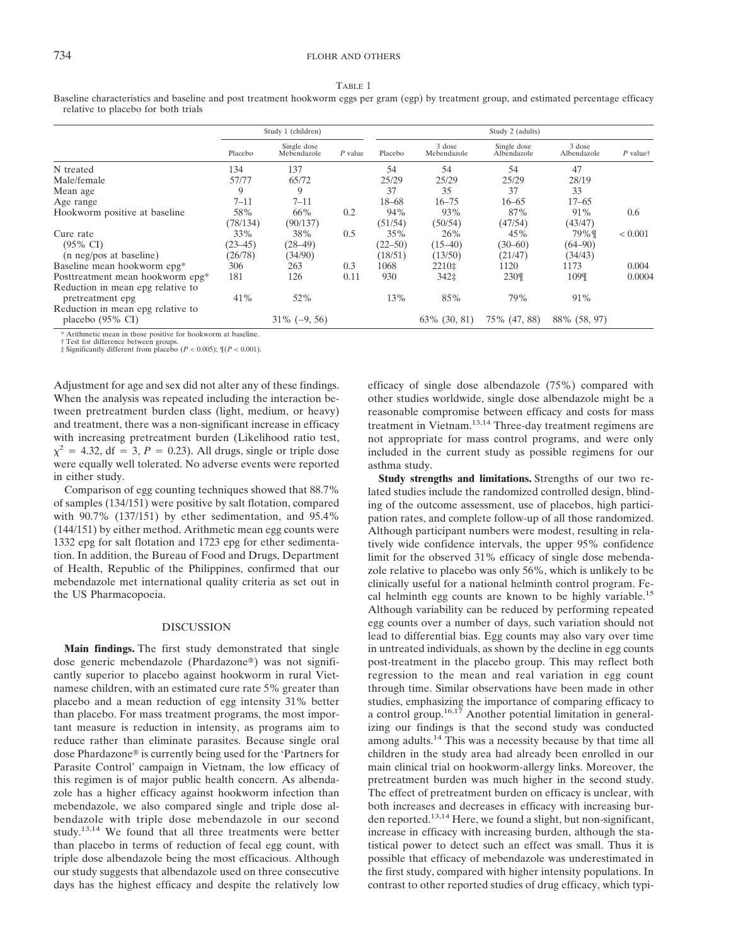|--|--|

Baseline characteristics and baseline and post treatment hookworm eggs per gram (egp) by treatment group, and estimated percentage efficacy relative to placebo for both trials

|                                   | Study 1 (children) |                            |           | Study 2 (adults) |                       |                            |                       |                |
|-----------------------------------|--------------------|----------------------------|-----------|------------------|-----------------------|----------------------------|-----------------------|----------------|
|                                   | Placebo            | Single dose<br>Mebendazole | $P$ value | Placebo          | 3 dose<br>Mebendazole | Single dose<br>Albendazole | 3 dose<br>Albendazole | $P$ valuet     |
| N treated                         | 134                | 137                        |           | 54               | 54                    | 54                         | 47                    |                |
| Male/female                       | 57/77              | 65/72                      |           | 25/29            | 25/29                 | 25/29                      | 28/19                 |                |
| Mean age                          | 9                  | 9                          |           | 37               | 35                    | 37                         | 33                    |                |
| Age range                         | $7 - 11$           | $7 - 11$                   |           | 18–68            | $16 - 75$             | $16 - 65$                  | $17 - 65$             |                |
| Hookworm positive at baseline     | 58%                | 66%                        | 0.2       | 94%              | 93%                   | 87%                        | 91%                   | 0.6            |
|                                   | (78/134)           | (90/137)                   |           | (51/54)          | (50/54)               | (47/54)                    | (43/47)               |                |
| Cure rate                         | 33%                | 38%                        | 0.5       | 35%              | 26%                   | 45%                        | 79%¶                  | ${}_{< 0.001}$ |
| $(95\% \text{ CI})$               | $(23 - 45)$        | $(28-49)$                  |           | $(22 - 50)$      | $(15-40)$             | $(30 - 60)$                | $(64 - 90)$           |                |
| (n neg/pos at baseline)           | (26/78)            | (34/90)                    |           | (18/51)          | (13/50)               | (21/47)                    | (34/43)               |                |
| Baseline mean hookworm epg*       | 306                | 263                        | 0.3       | 1068             | 2210‡                 | 1120                       | 1173                  | 0.004          |
| Posttreatment mean hookworm epg*  | 181                | 126                        | 0.11      | 930              | 342‡                  | 230¶                       | 109¶                  | 0.0004         |
| Reduction in mean epg relative to |                    |                            |           |                  |                       |                            |                       |                |
| pretreatment epg                  | 41%                | 52%                        |           | 13%              | 85%                   | 79%                        | 91%                   |                |
| Reduction in mean epg relative to |                    |                            |           |                  |                       |                            |                       |                |
| placebo $(95\% \text{ CI})$       |                    | $31\% (-9, 56)$            |           |                  | 63\% (30, 81)         | 75% (47, 88)               | 88% (58, 97)          |                |

Arithmetic mean in those positive for hookworm at baseline.

† Test for difference between groups. ‡ Significantly different from placebo (*P* < 0.005); ¶(*P* < 0.001).

Adjustment for age and sex did not alter any of these findings. When the analysis was repeated including the interaction between pretreatment burden class (light, medium, or heavy) and treatment, there was a non-significant increase in efficacy with increasing pretreatment burden (Likelihood ratio test,  $\chi^2$  = 4.32, df = 3, *P* = 0.23). All drugs, single or triple dose were equally well tolerated. No adverse events were reported in either study.

Comparison of egg counting techniques showed that 88.7% of samples (134/151) were positive by salt flotation, compared with 90.7% (137/151) by ether sedimentation, and 95.4% (144/151) by either method. Arithmetic mean egg counts were 1332 epg for salt flotation and 1723 epg for ether sedimentation. In addition, the Bureau of Food and Drugs, Department of Health, Republic of the Philippines, confirmed that our mebendazole met international quality criteria as set out in the US Pharmacopoeia.

#### **DISCUSSION**

**Main findings.** The first study demonstrated that single dose generic mebendazole (Phardazone®) was not significantly superior to placebo against hookworm in rural Vietnamese children, with an estimated cure rate 5% greater than placebo and a mean reduction of egg intensity 31% better than placebo. For mass treatment programs, the most important measure is reduction in intensity, as programs aim to reduce rather than eliminate parasites. Because single oral dose Phardazone® is currently being used for the 'Partners for Parasite Control' campaign in Vietnam, the low efficacy of this regimen is of major public health concern. As albendazole has a higher efficacy against hookworm infection than mebendazole, we also compared single and triple dose albendazole with triple dose mebendazole in our second study.<sup>13,14</sup> We found that all three treatments were better than placebo in terms of reduction of fecal egg count, with triple dose albendazole being the most efficacious. Although our study suggests that albendazole used on three consecutive days has the highest efficacy and despite the relatively low efficacy of single dose albendazole (75%) compared with other studies worldwide, single dose albendazole might be a reasonable compromise between efficacy and costs for mass treatment in Vietnam.<sup>13,14</sup> Three-day treatment regimens are not appropriate for mass control programs, and were only included in the current study as possible regimens for our asthma study.

**Study strengths and limitations.** Strengths of our two related studies include the randomized controlled design, blinding of the outcome assessment, use of placebos, high participation rates, and complete follow-up of all those randomized. Although participant numbers were modest, resulting in relatively wide confidence intervals, the upper 95% confidence limit for the observed 31% efficacy of single dose mebendazole relative to placebo was only 56%, which is unlikely to be clinically useful for a national helminth control program. Fecal helminth egg counts are known to be highly variable.<sup>15</sup> Although variability can be reduced by performing repeated egg counts over a number of days, such variation should not lead to differential bias. Egg counts may also vary over time in untreated individuals, as shown by the decline in egg counts post-treatment in the placebo group. This may reflect both regression to the mean and real variation in egg count through time. Similar observations have been made in other studies, emphasizing the importance of comparing efficacy to a control group.<sup>16,17</sup> Another potential limitation in generalizing our findings is that the second study was conducted among adults.14 This was a necessity because by that time all children in the study area had already been enrolled in our main clinical trial on hookworm-allergy links. Moreover, the pretreatment burden was much higher in the second study. The effect of pretreatment burden on efficacy is unclear, with both increases and decreases in efficacy with increasing burden reported.<sup>13,14</sup> Here, we found a slight, but non-significant, increase in efficacy with increasing burden, although the statistical power to detect such an effect was small. Thus it is possible that efficacy of mebendazole was underestimated in the first study, compared with higher intensity populations. In contrast to other reported studies of drug efficacy, which typi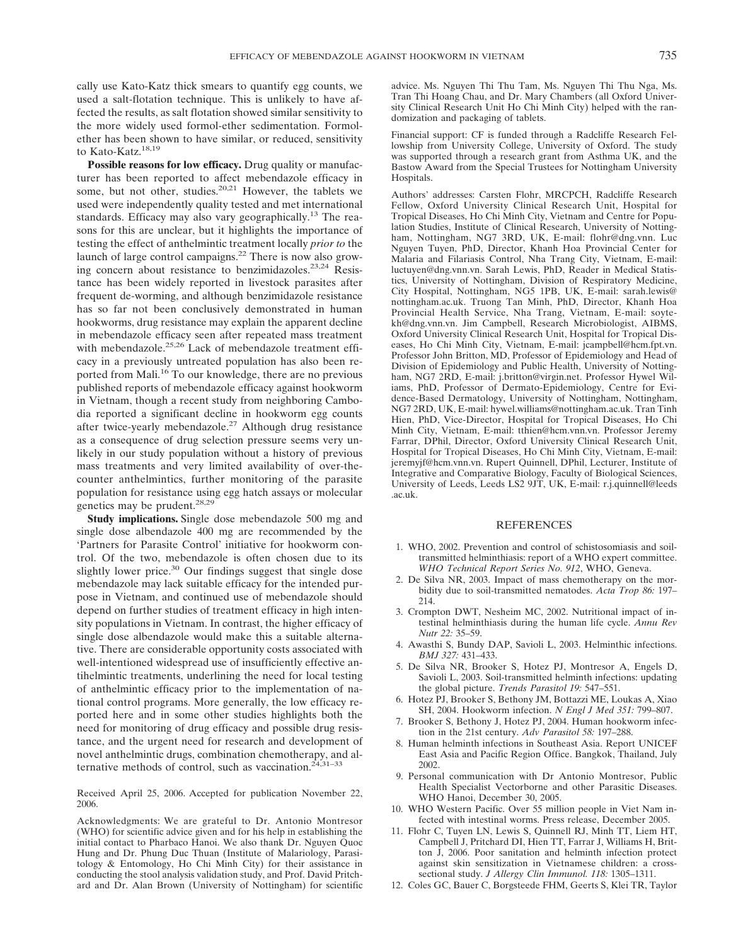cally use Kato-Katz thick smears to quantify egg counts, we used a salt-flotation technique. This is unlikely to have affected the results, as salt flotation showed similar sensitivity to the more widely used formol-ether sedimentation. Formolether has been shown to have similar, or reduced, sensitivity to Kato-Katz.<sup>18,19</sup>

**Possible reasons for low efficacy.** Drug quality or manufacturer has been reported to affect mebendazole efficacy in some, but not other, studies.<sup>20,21</sup> However, the tablets we used were independently quality tested and met international standards. Efficacy may also vary geographically.<sup>13</sup> The reasons for this are unclear, but it highlights the importance of testing the effect of anthelmintic treatment locally *prior to* the launch of large control campaigns.22 There is now also growing concern about resistance to benzimidazoles.<sup>23,24</sup> Resistance has been widely reported in livestock parasites after frequent de-worming, and although benzimidazole resistance has so far not been conclusively demonstrated in human hookworms, drug resistance may explain the apparent decline in mebendazole efficacy seen after repeated mass treatment with mebendazole.<sup>25,26</sup> Lack of mebendazole treatment efficacy in a previously untreated population has also been reported from Mali.16 To our knowledge, there are no previous published reports of mebendazole efficacy against hookworm in Vietnam, though a recent study from neighboring Cambodia reported a significant decline in hookworm egg counts after twice-yearly mebendazole.27 Although drug resistance as a consequence of drug selection pressure seems very unlikely in our study population without a history of previous mass treatments and very limited availability of over-thecounter anthelmintics, further monitoring of the parasite population for resistance using egg hatch assays or molecular genetics may be prudent.<sup>28,29</sup>

**Study implications.** Single dose mebendazole 500 mg and single dose albendazole 400 mg are recommended by the 'Partners for Parasite Control' initiative for hookworm control. Of the two, mebendazole is often chosen due to its slightly lower price.<sup>30</sup> Our findings suggest that single dose mebendazole may lack suitable efficacy for the intended purpose in Vietnam, and continued use of mebendazole should depend on further studies of treatment efficacy in high intensity populations in Vietnam. In contrast, the higher efficacy of single dose albendazole would make this a suitable alternative. There are considerable opportunity costs associated with well-intentioned widespread use of insufficiently effective antihelmintic treatments, underlining the need for local testing of anthelmintic efficacy prior to the implementation of national control programs. More generally, the low efficacy reported here and in some other studies highlights both the need for monitoring of drug efficacy and possible drug resistance, and the urgent need for research and development of novel anthelmintic drugs, combination chemotherapy, and alternative methods of control, such as vaccination.<sup> $24,31-33$ </sup>

Received April 25, 2006. Accepted for publication November 22, 2006.

Acknowledgments: We are grateful to Dr. Antonio Montresor (WHO) for scientific advice given and for his help in establishing the initial contact to Pharbaco Hanoi. We also thank Dr. Nguyen Quoc Hung and Dr. Phung Duc Thuan (Institute of Malariology, Parasitology & Entomology, Ho Chi Minh City) for their assistance in conducting the stool analysis validation study, and Prof. David Pritchard and Dr. Alan Brown (University of Nottingham) for scientific advice. Ms. Nguyen Thi Thu Tam, Ms. Nguyen Thi Thu Nga, Ms. Tran Thi Hoang Chau, and Dr. Mary Chambers (all Oxford University Clinical Research Unit Ho Chi Minh City) helped with the randomization and packaging of tablets.

Financial support: CF is funded through a Radcliffe Research Fellowship from University College, University of Oxford. The study was supported through a research grant from Asthma UK, and the Bastow Award from the Special Trustees for Nottingham University Hospitals.

Authors' addresses: Carsten Flohr, MRCPCH, Radcliffe Research Fellow, Oxford University Clinical Research Unit, Hospital for Tropical Diseases, Ho Chi Minh City, Vietnam and Centre for Population Studies, Institute of Clinical Research, University of Nottingham, Nottingham, NG7 3RD, UK, E-mail: flohr@dng.vnn. Luc Nguyen Tuyen, PhD, Director, Khanh Hoa Provincial Center for Malaria and Filariasis Control, Nha Trang City, Vietnam, E-mail: luctuyen@dng.vnn.vn. Sarah Lewis, PhD, Reader in Medical Statistics, University of Nottingham, Division of Respiratory Medicine, City Hospital, Nottingham, NG5 1PB, UK, E-mail: sarah.lewis@ nottingham.ac.uk. Truong Tan Minh, PhD, Director, Khanh Hoa Provincial Health Service, Nha Trang, Vietnam, E-mail: soytekh@dng.vnn.vn. Jim Campbell, Research Microbiologist, AIBMS, Oxford University Clinical Research Unit, Hospital for Tropical Diseases, Ho Chi Minh City, Vietnam, E-mail: jcampbell@hcm.fpt.vn. Professor John Britton, MD, Professor of Epidemiology and Head of Division of Epidemiology and Public Health, University of Nottingham, NG7 2RD, E-mail: j.britton@virgin.net. Professor Hywel Wiliams, PhD, Professor of Dermato-Epidemiology, Centre for Evidence-Based Dermatology, University of Nottingham, Nottingham, NG7 2RD, UK, E-mail: hywel.williams@nottingham.ac.uk. Tran Tinh Hien, PhD, Vice-Director, Hospital for Tropical Diseases, Ho Chi Minh City, Vietnam, E-mail: tthien@hcm.vnn.vn. Professor Jeremy Farrar, DPhil, Director, Oxford University Clinical Research Unit, Hospital for Tropical Diseases, Ho Chi Minh City, Vietnam, E-mail: jeremyjf@hcm.vnn.vn. Rupert Quinnell, DPhil, Lecturer, Institute of Integrative and Comparative Biology, Faculty of Biological Sciences, University of Leeds, Leeds LS2 9JT, UK, E-mail: r.j.quinnell@leeds .ac.uk.

#### REFERENCES

- 1. WHO, 2002. Prevention and control of schistosomiasis and soiltransmitted helminthiasis: report of a WHO expert committee. *WHO Technical Report Series No. 912*, WHO, Geneva.
- 2. De Silva NR, 2003. Impact of mass chemotherapy on the morbidity due to soil-transmitted nematodes. *Acta Trop 86:* 197– 214.
- 3. Crompton DWT, Nesheim MC, 2002. Nutritional impact of intestinal helminthiasis during the human life cycle. *Annu Rev Nutr 22:* 35–59.
- 4. Awasthi S, Bundy DAP, Savioli L, 2003. Helminthic infections. *BMJ 327:* 431–433.
- 5. De Silva NR, Brooker S, Hotez PJ, Montresor A, Engels D, Savioli L, 2003. Soil-transmitted helminth infections: updating the global picture. *Trends Parasitol 19:* 547–551.
- 6. Hotez PJ, Brooker S, Bethony JM, Bottazzi ME, Loukas A, Xiao SH, 2004. Hookworm infection. *N Engl J Med 351:* 799–807.
- 7. Brooker S, Bethony J, Hotez PJ, 2004. Human hookworm infection in the 21st century. *Adv Parasitol 58:* 197–288.
- 8. Human helminth infections in Southeast Asia. Report UNICEF East Asia and Pacific Region Office. Bangkok, Thailand, July 2002.
- 9. Personal communication with Dr Antonio Montresor, Public Health Specialist Vectorborne and other Parasitic Diseases. WHO Hanoi, December 30, 2005.
- 10. WHO Western Pacific. Over 55 million people in Viet Nam infected with intestinal worms. Press release, December 2005.
- 11. Flohr C, Tuyen LN, Lewis S, Quinnell RJ, Minh TT, Liem HT, Campbell J, Pritchard DI, Hien TT, Farrar J, Williams H, Britton J, 2006. Poor sanitation and helminth infection protect against skin sensitization in Vietnamese children: a crosssectional study. *J Allergy Clin Immunol. 118:* 1305–1311.
- 12. Coles GC, Bauer C, Borgsteede FHM, Geerts S, Klei TR, Taylor